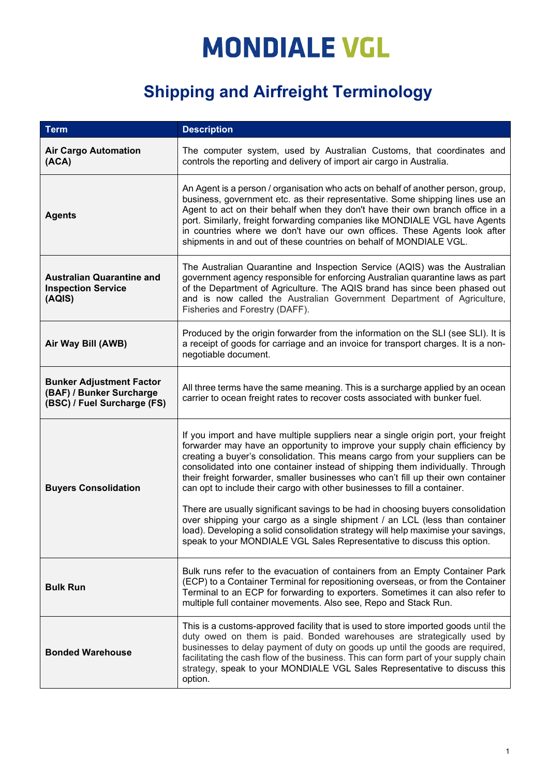| <b>Term</b>                                                                                | <b>Description</b>                                                                                                                                                                                                                                                                                                                                                                                                                                                                                                                                                                                                                                                                                                                                                                                                                        |
|--------------------------------------------------------------------------------------------|-------------------------------------------------------------------------------------------------------------------------------------------------------------------------------------------------------------------------------------------------------------------------------------------------------------------------------------------------------------------------------------------------------------------------------------------------------------------------------------------------------------------------------------------------------------------------------------------------------------------------------------------------------------------------------------------------------------------------------------------------------------------------------------------------------------------------------------------|
| <b>Air Cargo Automation</b><br>(ACA)                                                       | The computer system, used by Australian Customs, that coordinates and<br>controls the reporting and delivery of import air cargo in Australia.                                                                                                                                                                                                                                                                                                                                                                                                                                                                                                                                                                                                                                                                                            |
| <b>Agents</b>                                                                              | An Agent is a person / organisation who acts on behalf of another person, group,<br>business, government etc. as their representative. Some shipping lines use an<br>Agent to act on their behalf when they don't have their own branch office in a<br>port. Similarly, freight forwarding companies like MONDIALE VGL have Agents<br>in countries where we don't have our own offices. These Agents look after<br>shipments in and out of these countries on behalf of MONDIALE VGL.                                                                                                                                                                                                                                                                                                                                                     |
| <b>Australian Quarantine and</b><br><b>Inspection Service</b><br>(AQIS)                    | The Australian Quarantine and Inspection Service (AQIS) was the Australian<br>government agency responsible for enforcing Australian quarantine laws as part<br>of the Department of Agriculture. The AQIS brand has since been phased out<br>and is now called the Australian Government Department of Agriculture,<br>Fisheries and Forestry (DAFF).                                                                                                                                                                                                                                                                                                                                                                                                                                                                                    |
| Air Way Bill (AWB)                                                                         | Produced by the origin forwarder from the information on the SLI (see SLI). It is<br>a receipt of goods for carriage and an invoice for transport charges. It is a non-<br>negotiable document.                                                                                                                                                                                                                                                                                                                                                                                                                                                                                                                                                                                                                                           |
| <b>Bunker Adjustment Factor</b><br>(BAF) / Bunker Surcharge<br>(BSC) / Fuel Surcharge (FS) | All three terms have the same meaning. This is a surcharge applied by an ocean<br>carrier to ocean freight rates to recover costs associated with bunker fuel.                                                                                                                                                                                                                                                                                                                                                                                                                                                                                                                                                                                                                                                                            |
| <b>Buyers Consolidation</b>                                                                | If you import and have multiple suppliers near a single origin port, your freight<br>forwarder may have an opportunity to improve your supply chain efficiency by<br>creating a buyer's consolidation. This means cargo from your suppliers can be<br>consolidated into one container instead of shipping them individually. Through<br>their freight forwarder, smaller businesses who can't fill up their own container<br>can opt to include their cargo with other businesses to fill a container.<br>There are usually significant savings to be had in choosing buyers consolidation<br>over shipping your cargo as a single shipment / an LCL (less than container<br>load). Developing a solid consolidation strategy will help maximise your savings,<br>speak to your MONDIALE VGL Sales Representative to discuss this option. |
| <b>Bulk Run</b>                                                                            | Bulk runs refer to the evacuation of containers from an Empty Container Park<br>(ECP) to a Container Terminal for repositioning overseas, or from the Container<br>Terminal to an ECP for forwarding to exporters. Sometimes it can also refer to<br>multiple full container movements. Also see, Repo and Stack Run.                                                                                                                                                                                                                                                                                                                                                                                                                                                                                                                     |
| <b>Bonded Warehouse</b>                                                                    | This is a customs-approved facility that is used to store imported goods until the<br>duty owed on them is paid. Bonded warehouses are strategically used by<br>businesses to delay payment of duty on goods up until the goods are required,<br>facilitating the cash flow of the business. This can form part of your supply chain<br>strategy, speak to your MONDIALE VGL Sales Representative to discuss this<br>option.                                                                                                                                                                                                                                                                                                                                                                                                              |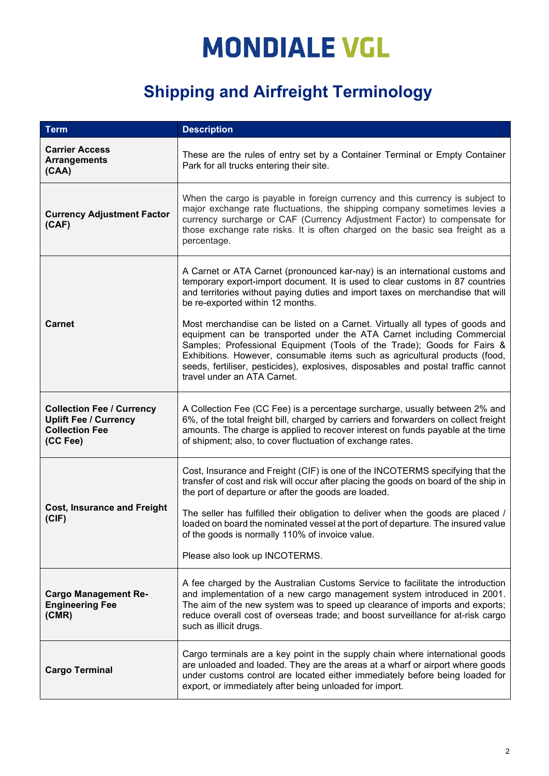| <b>Term</b>                                                                                           | <b>Description</b>                                                                                                                                                                                                                                                                                                                                                                                                                   |
|-------------------------------------------------------------------------------------------------------|--------------------------------------------------------------------------------------------------------------------------------------------------------------------------------------------------------------------------------------------------------------------------------------------------------------------------------------------------------------------------------------------------------------------------------------|
| <b>Carrier Access</b><br><b>Arrangements</b><br>(CAA)                                                 | These are the rules of entry set by a Container Terminal or Empty Container<br>Park for all trucks entering their site.                                                                                                                                                                                                                                                                                                              |
| <b>Currency Adjustment Factor</b><br>(CAF)                                                            | When the cargo is payable in foreign currency and this currency is subject to<br>major exchange rate fluctuations, the shipping company sometimes levies a<br>currency surcharge or CAF (Currency Adjustment Factor) to compensate for<br>those exchange rate risks. It is often charged on the basic sea freight as a<br>percentage.                                                                                                |
| <b>Carnet</b>                                                                                         | A Carnet or ATA Carnet (pronounced kar-nay) is an international customs and<br>temporary export-import document. It is used to clear customs in 87 countries<br>and territories without paying duties and import taxes on merchandise that will<br>be re-exported within 12 months.                                                                                                                                                  |
|                                                                                                       | Most merchandise can be listed on a Carnet. Virtually all types of goods and<br>equipment can be transported under the ATA Carnet including Commercial<br>Samples; Professional Equipment (Tools of the Trade); Goods for Fairs &<br>Exhibitions. However, consumable items such as agricultural products (food,<br>seeds, fertiliser, pesticides), explosives, disposables and postal traffic cannot<br>travel under an ATA Carnet. |
| <b>Collection Fee / Currency</b><br><b>Uplift Fee / Currency</b><br><b>Collection Fee</b><br>(CC Fee) | A Collection Fee (CC Fee) is a percentage surcharge, usually between 2% and<br>6%, of the total freight bill, charged by carriers and forwarders on collect freight<br>amounts. The charge is applied to recover interest on funds payable at the time<br>of shipment; also, to cover fluctuation of exchange rates.                                                                                                                 |
| <b>Cost, Insurance and Freight</b><br>(CIF)                                                           | Cost, Insurance and Freight (CIF) is one of the INCOTERMS specifying that the<br>transfer of cost and risk will occur after placing the goods on board of the ship in<br>the port of departure or after the goods are loaded.                                                                                                                                                                                                        |
|                                                                                                       | The seller has fulfilled their obligation to deliver when the goods are placed /<br>loaded on board the nominated vessel at the port of departure. The insured value<br>of the goods is normally 110% of invoice value.                                                                                                                                                                                                              |
|                                                                                                       | Please also look up INCOTERMS.                                                                                                                                                                                                                                                                                                                                                                                                       |
| <b>Cargo Management Re-</b><br><b>Engineering Fee</b><br>(CMR)                                        | A fee charged by the Australian Customs Service to facilitate the introduction<br>and implementation of a new cargo management system introduced in 2001.<br>The aim of the new system was to speed up clearance of imports and exports;<br>reduce overall cost of overseas trade; and boost surveillance for at-risk cargo<br>such as illicit drugs.                                                                                |
| <b>Cargo Terminal</b>                                                                                 | Cargo terminals are a key point in the supply chain where international goods<br>are unloaded and loaded. They are the areas at a wharf or airport where goods<br>under customs control are located either immediately before being loaded for<br>export, or immediately after being unloaded for import.                                                                                                                            |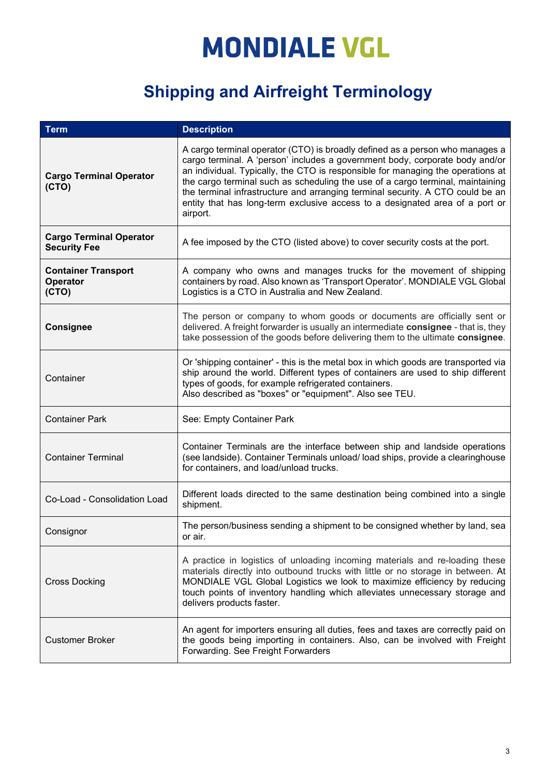| <b>Term</b>                                           | <b>Description</b>                                                                                                                                                                                                                                                                                                                                                                                                                                                                                              |
|-------------------------------------------------------|-----------------------------------------------------------------------------------------------------------------------------------------------------------------------------------------------------------------------------------------------------------------------------------------------------------------------------------------------------------------------------------------------------------------------------------------------------------------------------------------------------------------|
| <b>Cargo Terminal Operator</b><br>(CTO)               | A cargo terminal operator (CTO) is broadly defined as a person who manages a<br>cargo terminal. A 'person' includes a government body, corporate body and/or<br>an individual. Typically, the CTO is responsible for managing the operations at<br>the cargo terminal such as scheduling the use of a cargo terminal, maintaining<br>the terminal infrastructure and arranging terminal security. A CTO could be an<br>entity that has long-term exclusive access to a designated area of a port or<br>airport. |
| <b>Cargo Terminal Operator</b><br><b>Security Fee</b> | A fee imposed by the CTO (listed above) to cover security costs at the port.                                                                                                                                                                                                                                                                                                                                                                                                                                    |
| <b>Container Transport</b><br>Operator<br>(CTO)       | A company who owns and manages trucks for the movement of shipping<br>containers by road. Also known as 'Transport Operator'. MONDIALE VGL Global<br>Logistics is a CTO in Australia and New Zealand.                                                                                                                                                                                                                                                                                                           |
| <b>Consignee</b>                                      | The person or company to whom goods or documents are officially sent or<br>delivered. A freight forwarder is usually an intermediate consignee - that is, they<br>take possession of the goods before delivering them to the ultimate consignee.                                                                                                                                                                                                                                                                |
| Container                                             | Or 'shipping container' - this is the metal box in which goods are transported via<br>ship around the world. Different types of containers are used to ship different<br>types of goods, for example refrigerated containers.<br>Also described as "boxes" or "equipment". Also see TEU.                                                                                                                                                                                                                        |
| <b>Container Park</b>                                 | See: Empty Container Park                                                                                                                                                                                                                                                                                                                                                                                                                                                                                       |
| <b>Container Terminal</b>                             | Container Terminals are the interface between ship and landside operations<br>(see landside). Container Terminals unload/load ships, provide a clearinghouse<br>for containers, and load/unload trucks.                                                                                                                                                                                                                                                                                                         |
| Co-Load - Consolidation Load                          | Different loads directed to the same destination being combined into a single<br>shipment.                                                                                                                                                                                                                                                                                                                                                                                                                      |
| Consignor                                             | The person/business sending a shipment to be consigned whether by land, sea<br>or air.                                                                                                                                                                                                                                                                                                                                                                                                                          |
| <b>Cross Docking</b>                                  | A practice in logistics of unloading incoming materials and re-loading these<br>materials directly into outbound trucks with little or no storage in between. At<br>MONDIALE VGL Global Logistics we look to maximize efficiency by reducing<br>touch points of inventory handling which alleviates unnecessary storage and<br>delivers products faster.                                                                                                                                                        |
| <b>Customer Broker</b>                                | An agent for importers ensuring all duties, fees and taxes are correctly paid on<br>the goods being importing in containers. Also, can be involved with Freight<br>Forwarding. See Freight Forwarders                                                                                                                                                                                                                                                                                                           |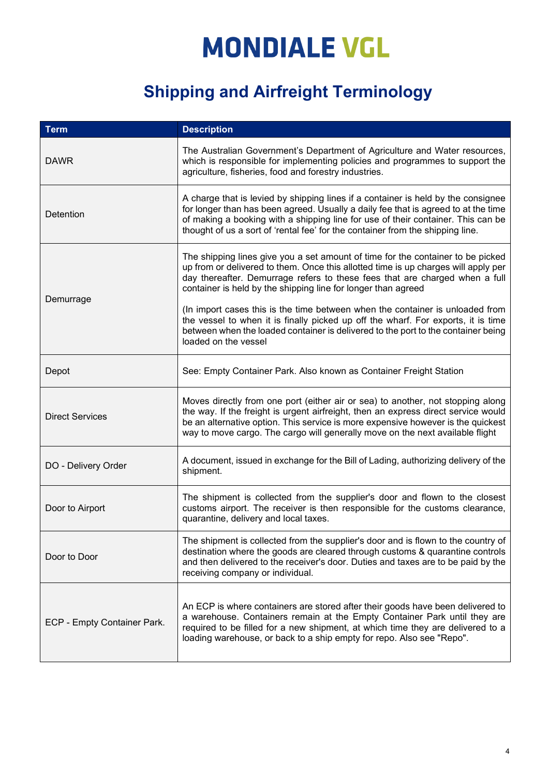| <b>Term</b>                 | <b>Description</b>                                                                                                                                                                                                                                                                                                                            |
|-----------------------------|-----------------------------------------------------------------------------------------------------------------------------------------------------------------------------------------------------------------------------------------------------------------------------------------------------------------------------------------------|
| <b>DAWR</b>                 | The Australian Government's Department of Agriculture and Water resources,<br>which is responsible for implementing policies and programmes to support the<br>agriculture, fisheries, food and forestry industries.                                                                                                                           |
| Detention                   | A charge that is levied by shipping lines if a container is held by the consignee<br>for longer than has been agreed. Usually a daily fee that is agreed to at the time<br>of making a booking with a shipping line for use of their container. This can be<br>thought of us a sort of 'rental fee' for the container from the shipping line. |
| Demurrage                   | The shipping lines give you a set amount of time for the container to be picked<br>up from or delivered to them. Once this allotted time is up charges will apply per<br>day thereafter. Demurrage refers to these fees that are charged when a full<br>container is held by the shipping line for longer than agreed                         |
|                             | (In import cases this is the time between when the container is unloaded from<br>the vessel to when it is finally picked up off the wharf. For exports, it is time<br>between when the loaded container is delivered to the port to the container being<br>loaded on the vessel                                                               |
| Depot                       | See: Empty Container Park. Also known as Container Freight Station                                                                                                                                                                                                                                                                            |
| <b>Direct Services</b>      | Moves directly from one port (either air or sea) to another, not stopping along<br>the way. If the freight is urgent airfreight, then an express direct service would<br>be an alternative option. This service is more expensive however is the quickest<br>way to move cargo. The cargo will generally move on the next available flight    |
| DO - Delivery Order         | A document, issued in exchange for the Bill of Lading, authorizing delivery of the<br>shipment.                                                                                                                                                                                                                                               |
| Door to Airport             | The shipment is collected from the supplier's door and flown to the closest<br>customs airport. The receiver is then responsible for the customs clearance,<br>quarantine, delivery and local taxes.                                                                                                                                          |
| Door to Door                | The shipment is collected from the supplier's door and is flown to the country of<br>destination where the goods are cleared through customs & quarantine controls<br>and then delivered to the receiver's door. Duties and taxes are to be paid by the<br>receiving company or individual.                                                   |
| ECP - Empty Container Park. | An ECP is where containers are stored after their goods have been delivered to<br>a warehouse. Containers remain at the Empty Container Park until they are<br>required to be filled for a new shipment, at which time they are delivered to a<br>loading warehouse, or back to a ship empty for repo. Also see "Repo".                       |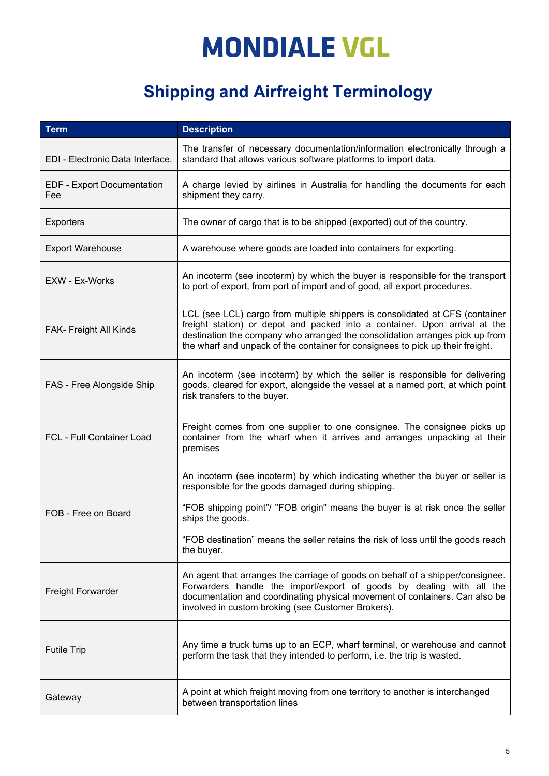| <b>Term</b>                              | <b>Description</b>                                                                                                                                                                                                                                                                                                           |
|------------------------------------------|------------------------------------------------------------------------------------------------------------------------------------------------------------------------------------------------------------------------------------------------------------------------------------------------------------------------------|
| EDI - Electronic Data Interface.         | The transfer of necessary documentation/information electronically through a<br>standard that allows various software platforms to import data.                                                                                                                                                                              |
| <b>EDF - Export Documentation</b><br>Fee | A charge levied by airlines in Australia for handling the documents for each<br>shipment they carry.                                                                                                                                                                                                                         |
| <b>Exporters</b>                         | The owner of cargo that is to be shipped (exported) out of the country.                                                                                                                                                                                                                                                      |
| <b>Export Warehouse</b>                  | A warehouse where goods are loaded into containers for exporting.                                                                                                                                                                                                                                                            |
| EXW - Ex-Works                           | An incoterm (see incoterm) by which the buyer is responsible for the transport<br>to port of export, from port of import and of good, all export procedures.                                                                                                                                                                 |
| FAK- Freight All Kinds                   | LCL (see LCL) cargo from multiple shippers is consolidated at CFS (container<br>freight station) or depot and packed into a container. Upon arrival at the<br>destination the company who arranged the consolidation arranges pick up from<br>the wharf and unpack of the container for consignees to pick up their freight. |
| FAS - Free Alongside Ship                | An incoterm (see incoterm) by which the seller is responsible for delivering<br>goods, cleared for export, alongside the vessel at a named port, at which point<br>risk transfers to the buyer.                                                                                                                              |
| <b>FCL - Full Container Load</b>         | Freight comes from one supplier to one consignee. The consignee picks up<br>container from the wharf when it arrives and arranges unpacking at their<br>premises                                                                                                                                                             |
|                                          | An incoterm (see incoterm) by which indicating whether the buyer or seller is<br>responsible for the goods damaged during shipping.                                                                                                                                                                                          |
| FOB - Free on Board                      | "FOB shipping point"/ "FOB origin" means the buyer is at risk once the seller<br>ships the goods.                                                                                                                                                                                                                            |
|                                          | "FOB destination" means the seller retains the risk of loss until the goods reach<br>the buyer.                                                                                                                                                                                                                              |
| <b>Freight Forwarder</b>                 | An agent that arranges the carriage of goods on behalf of a shipper/consignee.<br>Forwarders handle the import/export of goods by dealing with all the<br>documentation and coordinating physical movement of containers. Can also be<br>involved in custom broking (see Customer Brokers).                                  |
| <b>Futile Trip</b>                       | Any time a truck turns up to an ECP, wharf terminal, or warehouse and cannot<br>perform the task that they intended to perform, i.e. the trip is wasted.                                                                                                                                                                     |
| Gateway                                  | A point at which freight moving from one territory to another is interchanged<br>between transportation lines                                                                                                                                                                                                                |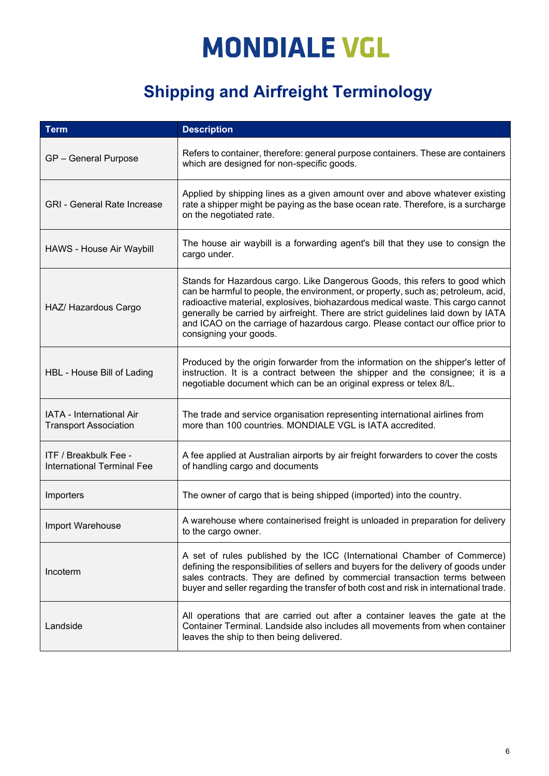| <b>Term</b>                                                | <b>Description</b>                                                                                                                                                                                                                                                                                                                                                                                                                                    |
|------------------------------------------------------------|-------------------------------------------------------------------------------------------------------------------------------------------------------------------------------------------------------------------------------------------------------------------------------------------------------------------------------------------------------------------------------------------------------------------------------------------------------|
| GP - General Purpose                                       | Refers to container, therefore: general purpose containers. These are containers<br>which are designed for non-specific goods.                                                                                                                                                                                                                                                                                                                        |
| <b>GRI - General Rate Increase</b>                         | Applied by shipping lines as a given amount over and above whatever existing<br>rate a shipper might be paying as the base ocean rate. Therefore, is a surcharge<br>on the negotiated rate.                                                                                                                                                                                                                                                           |
| HAWS - House Air Waybill                                   | The house air waybill is a forwarding agent's bill that they use to consign the<br>cargo under.                                                                                                                                                                                                                                                                                                                                                       |
| HAZ/ Hazardous Cargo                                       | Stands for Hazardous cargo. Like Dangerous Goods, this refers to good which<br>can be harmful to people, the environment, or property, such as; petroleum, acid,<br>radioactive material, explosives, biohazardous medical waste. This cargo cannot<br>generally be carried by airfreight. There are strict guidelines laid down by IATA<br>and ICAO on the carriage of hazardous cargo. Please contact our office prior to<br>consigning your goods. |
| HBL - House Bill of Lading                                 | Produced by the origin forwarder from the information on the shipper's letter of<br>instruction. It is a contract between the shipper and the consignee; it is a<br>negotiable document which can be an original express or telex 8/L.                                                                                                                                                                                                                |
| IATA - International Air<br><b>Transport Association</b>   | The trade and service organisation representing international airlines from<br>more than 100 countries. MONDIALE VGL is IATA accredited.                                                                                                                                                                                                                                                                                                              |
| ITF / Breakbulk Fee -<br><b>International Terminal Fee</b> | A fee applied at Australian airports by air freight forwarders to cover the costs<br>of handling cargo and documents                                                                                                                                                                                                                                                                                                                                  |
| Importers                                                  | The owner of cargo that is being shipped (imported) into the country.                                                                                                                                                                                                                                                                                                                                                                                 |
| Import Warehouse                                           | A warehouse where containerised freight is unloaded in preparation for delivery<br>to the cargo owner.                                                                                                                                                                                                                                                                                                                                                |
| Incoterm                                                   | A set of rules published by the ICC (International Chamber of Commerce)<br>defining the responsibilities of sellers and buyers for the delivery of goods under<br>sales contracts. They are defined by commercial transaction terms between<br>buyer and seller regarding the transfer of both cost and risk in international trade.                                                                                                                  |
| Landside                                                   | All operations that are carried out after a container leaves the gate at the<br>Container Terminal. Landside also includes all movements from when container<br>leaves the ship to then being delivered.                                                                                                                                                                                                                                              |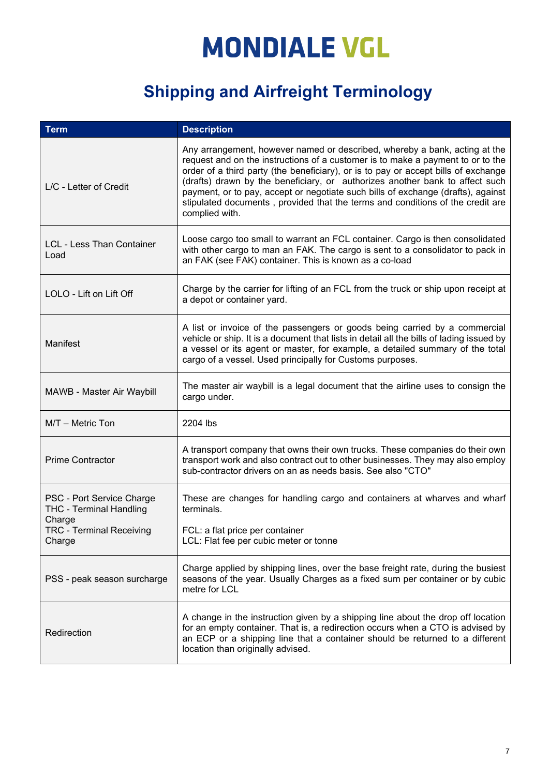| <b>Term</b>                                                           | <b>Description</b>                                                                                                                                                                                                                                                                                                                                                                                                                                                                                                          |
|-----------------------------------------------------------------------|-----------------------------------------------------------------------------------------------------------------------------------------------------------------------------------------------------------------------------------------------------------------------------------------------------------------------------------------------------------------------------------------------------------------------------------------------------------------------------------------------------------------------------|
| $L/C$ - Letter of Credit                                              | Any arrangement, however named or described, whereby a bank, acting at the<br>request and on the instructions of a customer is to make a payment to or to the<br>order of a third party (the beneficiary), or is to pay or accept bills of exchange<br>(drafts) drawn by the beneficiary, or authorizes another bank to affect such<br>payment, or to pay, accept or negotiate such bills of exchange (drafts), against<br>stipulated documents, provided that the terms and conditions of the credit are<br>complied with. |
| <b>LCL - Less Than Container</b><br>Load                              | Loose cargo too small to warrant an FCL container. Cargo is then consolidated<br>with other cargo to man an FAK. The cargo is sent to a consolidator to pack in<br>an FAK (see FAK) container. This is known as a co-load                                                                                                                                                                                                                                                                                                   |
| LOLO - Lift on Lift Off                                               | Charge by the carrier for lifting of an FCL from the truck or ship upon receipt at<br>a depot or container yard.                                                                                                                                                                                                                                                                                                                                                                                                            |
| Manifest                                                              | A list or invoice of the passengers or goods being carried by a commercial<br>vehicle or ship. It is a document that lists in detail all the bills of lading issued by<br>a vessel or its agent or master, for example, a detailed summary of the total<br>cargo of a vessel. Used principally for Customs purposes.                                                                                                                                                                                                        |
| MAWB - Master Air Waybill                                             | The master air waybill is a legal document that the airline uses to consign the<br>cargo under.                                                                                                                                                                                                                                                                                                                                                                                                                             |
| M/T - Metric Ton                                                      | 2204 lbs                                                                                                                                                                                                                                                                                                                                                                                                                                                                                                                    |
| <b>Prime Contractor</b>                                               | A transport company that owns their own trucks. These companies do their own<br>transport work and also contract out to other businesses. They may also employ<br>sub-contractor drivers on an as needs basis. See also "CTO"                                                                                                                                                                                                                                                                                               |
| PSC - Port Service Charge<br><b>THC - Terminal Handling</b><br>Charge | These are changes for handling cargo and containers at wharves and wharf<br>terminals.                                                                                                                                                                                                                                                                                                                                                                                                                                      |
| <b>TRC - Terminal Receiving</b><br>Charge                             | FCL: a flat price per container<br>LCL: Flat fee per cubic meter or tonne                                                                                                                                                                                                                                                                                                                                                                                                                                                   |
| PSS - peak season surcharge                                           | Charge applied by shipping lines, over the base freight rate, during the busiest<br>seasons of the year. Usually Charges as a fixed sum per container or by cubic<br>metre for LCL                                                                                                                                                                                                                                                                                                                                          |
| Redirection                                                           | A change in the instruction given by a shipping line about the drop off location<br>for an empty container. That is, a redirection occurs when a CTO is advised by<br>an ECP or a shipping line that a container should be returned to a different<br>location than originally advised.                                                                                                                                                                                                                                     |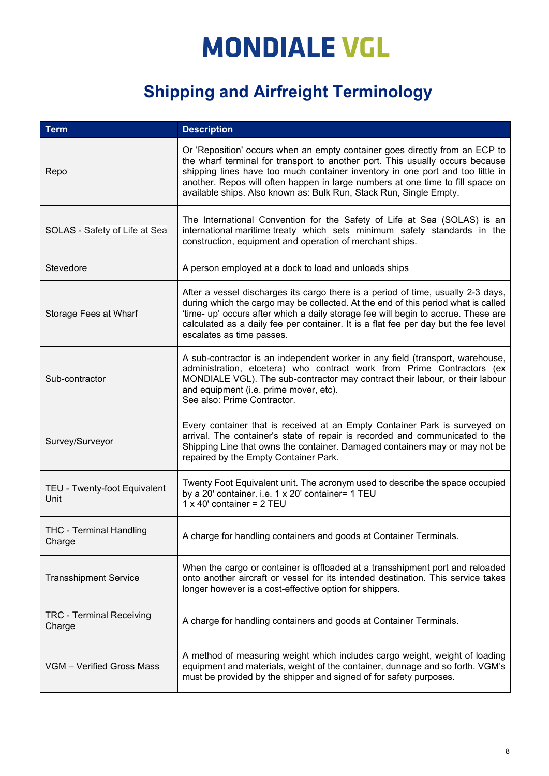| <b>Term</b>                               | <b>Description</b>                                                                                                                                                                                                                                                                                                                                                                                     |
|-------------------------------------------|--------------------------------------------------------------------------------------------------------------------------------------------------------------------------------------------------------------------------------------------------------------------------------------------------------------------------------------------------------------------------------------------------------|
| Repo                                      | Or 'Reposition' occurs when an empty container goes directly from an ECP to<br>the wharf terminal for transport to another port. This usually occurs because<br>shipping lines have too much container inventory in one port and too little in<br>another. Repos will often happen in large numbers at one time to fill space on<br>available ships. Also known as: Bulk Run, Stack Run, Single Empty. |
| SOLAS - Safety of Life at Sea             | The International Convention for the Safety of Life at Sea (SOLAS) is an<br>international maritime treaty which sets minimum safety standards in the<br>construction, equipment and operation of merchant ships.                                                                                                                                                                                       |
| Stevedore                                 | A person employed at a dock to load and unloads ships                                                                                                                                                                                                                                                                                                                                                  |
| Storage Fees at Wharf                     | After a vessel discharges its cargo there is a period of time, usually 2-3 days,<br>during which the cargo may be collected. At the end of this period what is called<br>'time- up' occurs after which a daily storage fee will begin to accrue. These are<br>calculated as a daily fee per container. It is a flat fee per day but the fee level<br>escalates as time passes.                         |
| Sub-contractor                            | A sub-contractor is an independent worker in any field (transport, warehouse,<br>administration, etcetera) who contract work from Prime Contractors (ex<br>MONDIALE VGL). The sub-contractor may contract their labour, or their labour<br>and equipment (i.e. prime mover, etc).<br>See also: Prime Contractor.                                                                                       |
| Survey/Surveyor                           | Every container that is received at an Empty Container Park is surveyed on<br>arrival. The container's state of repair is recorded and communicated to the<br>Shipping Line that owns the container. Damaged containers may or may not be<br>repaired by the Empty Container Park.                                                                                                                     |
| TEU - Twenty-foot Equivalent<br>Unit      | Twenty Foot Equivalent unit. The acronym used to describe the space occupied<br>by a 20' container. i.e. 1 x 20' container= 1 TEU<br>$1 \times 40'$ container = $2$ TEU                                                                                                                                                                                                                                |
| <b>THC - Terminal Handling</b><br>Charge  | A charge for handling containers and goods at Container Terminals.                                                                                                                                                                                                                                                                                                                                     |
| <b>Transshipment Service</b>              | When the cargo or container is offloaded at a transshipment port and reloaded<br>onto another aircraft or vessel for its intended destination. This service takes<br>longer however is a cost-effective option for shippers.                                                                                                                                                                           |
| <b>TRC - Terminal Receiving</b><br>Charge | A charge for handling containers and goods at Container Terminals.                                                                                                                                                                                                                                                                                                                                     |
| VGM - Verified Gross Mass                 | A method of measuring weight which includes cargo weight, weight of loading<br>equipment and materials, weight of the container, dunnage and so forth. VGM's<br>must be provided by the shipper and signed of for safety purposes.                                                                                                                                                                     |